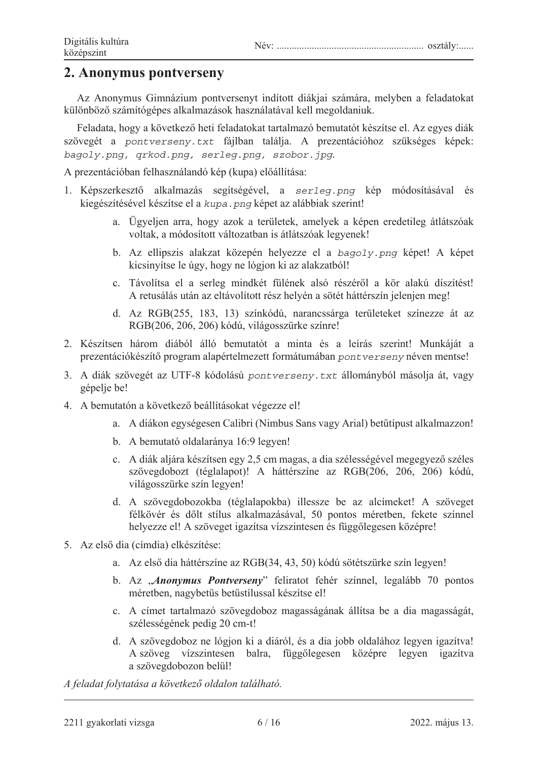## **2. Anonymus pontverseny**

Az Anonymus Gimnázium pontversenyt indított diákjai számára, melyben a feladatokat különböző számítógépes alkalmazások használatával kell megoldaniuk.

Feladata, hogy a következő heti feladatokat tartalmazó bemutatót készítse el. Az egyes diák szövegét a pontverseny.txt fájlban találja. A prezentációhoz szükséges képek: *bagoly.png, qrkod.png, serleg.png, szobor.jpg*

A prezentációban felhasználandó kép (kupa) előállítása:

- 1. Képszerkesztő alkalmazás segítségével, a serleg.png kép módosításával és kiegészítésével készítse el a kupa.png képet az alábbiak szerint!
	- a. Ügyeljen arra, hogy azok a területek, amelyek a képen eredetileg átlátszóak voltak, a módosított változatban is átlátszóak legyenek!
	- b. Az ellipszis alakzat közepén helyezze el a bagoly.png képet! A képet kicsinyitse le úgy, hogy ne lógjon ki az alakzatból!
	- c. Távolítsa el a serleg mindkét fülének alsó részéről a kör alakú díszítést! A retusálás után az eltávolított rész helyén a sötét háttérszín jelenjen meg!
	- d. Az RGB(255, 183, 13) színkódú, narancssárga területeket színezze át az RGB(206, 206, 206) kódú, világosszürke színre!
- 2. Készítsen három diából álló bemutatót a minta és a leírás szerint! Munkáját a prezentációkészítő program alapértelmezett formátumában *pontverseny* néven mentse!
- 3. A diák szövegét az UTF-8 kódolású pontverseny.txt állományból másolia át, vagy gépelje be!
- 4. A bemutatón a következő beállításokat végezze el!
	- a. A diákon egységesen Calibri (Nimbus Sans vagy Arial) betűtípust alkalmazzon!
	- b. A bemutató oldalaránya 16:9 legyen!
	- c. A diák aljára készítsen egy 2,5 cm magas, a dia szélességével megegyező széles szövegdobozt (téglalapot)! A háttérszíne az RGB(206, 206, 206) kódú, világosszürke szín legyen!
	- d. A szövegdobozokba (téglalapokba) illessze be az alcímeket! A szöveget félkövér és dőlt stílus alkalmazásával, 50 pontos méretben, fekete színnel helyezze el! A szöveget igazítsa vízszintesen és függőlegesen középre!
- 5. Az első dia (címdia) elkészítése:
	- a. Az első dia háttérszíne az RGB(34, 43, 50) kódú sötétszürke szín legyen!
	- b. Az "*Anonymus Pontverseny*" feliratot fehér színnel, legalább 70 pontos méretben, nagybetűs betűstílussal készítse el!
	- c. A címet tartalmazó szövegdoboz magasságának állítsa be a dia magasságát, szélességének pedig 20 cm-t!
	- d. A szövegdoboz ne lógjon ki a diáról, és a dia jobb oldalához legyen igazítva! A szöveg vízszintesen balra, függőlegesen középre legyen igazítva a szövegdobozon belül!

*A feladat folytatása a következĘ oldalon található.*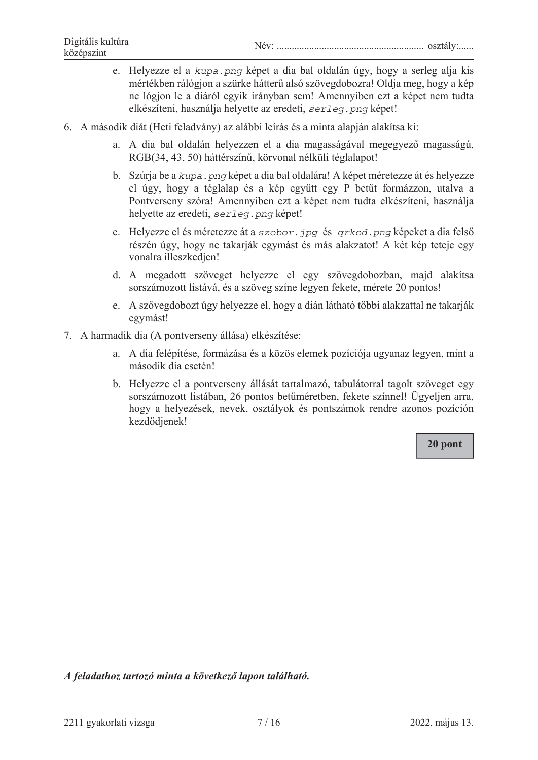- e. Helyezze el a kupa png képet a dia bal oldalán úgy, hogy a serleg alja kis mértékben rálógjon a szürke hátterű alsó szövegdobozra! Oldja meg, hogy a kép ne lógion le a diáról egyik irányban sem! Amennyiben ezt a képet nem tudta elkészíteni, használja helyette az eredeti, serleg. png képet!
- 6. A második diát (Heti feladvány) az alábbi leírás és a minta alapján alakítsa ki:
	- a. A dia bal oldalán helyezzen el a dia magasságával megegyező magasságú, RGB(34, 43, 50) háttérszínű, körvonal nélküli téglalapot!
	- b. Szúrja be a kupa. png képet a dia bal oldalára! A képet méretezze át és helyezze el úgy, hogy a téglalap és a kép együtt egy P betűt formázzon, utalva a Pontverseny szóra! Amennyiben ezt a képet nem tudta elkészíteni, használja helyette az eredeti, serleg. png képet!
	- c. Helyezze el és méretezze át a szobor. jpg és grkod. png képeket a dia felső részén úgy, hogy ne takarják egymást és más alakzatot! A két kép teteje egy vonalra illeszkedjen!
	- d. A megadott szöveget helyezze el egy szövegdobozban, majd alakítsa sorszámozott listává, és a szöveg színe legyen fekete, mérete 20 pontos!
	- e. A szövegdobozt úgy helyezze el, hogy a dián látható többi alakzattal ne takarják egymást!
- 7. A harmadik dia (A pontverseny állása) elkészítése:
	- a. A dia felépítése, formázása és a közös elemek pozíciója ugyanaz legyen, mint a második dia esetén!
	- b. Helyezze el a pontverseny állását tartalmazó, tabulátorral tagolt szöveget egy sorszámozott listában, 26 pontos betűméretben, fekete színnel! Ügyeljen arra, hogy a helyezések, nevek, osztályok és pontszámok rendre azonos pozíción kezdődjenek!

20 pont

A feladathoz tartozó minta a következő lapon található.

<sup>2211</sup> gyakorlati vizsga